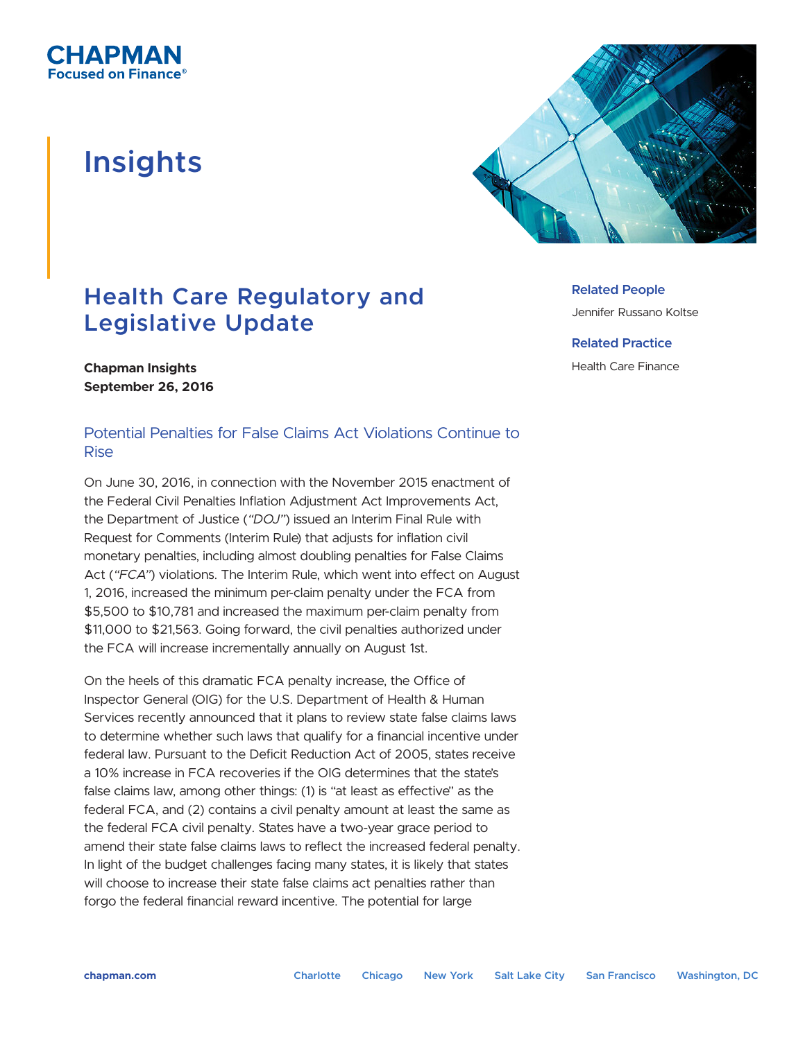

# **Insights**



# **Health Care Regulatory and Legislative Update**

**Related People**

Jennifer Russano Koltse

**Related Practice**

Health Care Finance

#### **Chapman Insights September 26, 2016**

## Potential Penalties for False Claims Act Violations Continue to Rise

On June 30, 2016, in connection with the November 2015 enactment of the Federal Civil Penalties Inflation Adjustment Act Improvements Act, the Department of Justice (*"DOJ"*) issued an Interim Final Rule with Request for Comments (Interim Rule) that adjusts for inflation civil monetary penalties, including almost doubling penalties for False Claims Act (*"FCA"*) violations. The Interim Rule, which went into effect on August 1, 2016, increased the minimum per-claim penalty under the FCA from \$5,500 to \$10,781 and increased the maximum per-claim penalty from \$11,000 to \$21,563. Going forward, the civil penalties authorized under the FCA will increase incrementally annually on August 1st.

On the heels of this dramatic FCA penalty increase, the Office of Inspector General (OIG) for the U.S. Department of Health & Human Services recently announced that it plans to review state false claims laws to determine whether such laws that qualify for a financial incentive under federal law. Pursuant to the Deficit Reduction Act of 2005, states receive a 10% increase in FCA recoveries if the OIG determines that the state's false claims law, among other things: (1) is "at least as effective" as the federal FCA, and (2) contains a civil penalty amount at least the same as the federal FCA civil penalty. States have a two-year grace period to amend their state false claims laws to reflect the increased federal penalty. In light of the budget challenges facing many states, it is likely that states will choose to increase their state false claims act penalties rather than forgo the federal financial reward incentive. The potential for large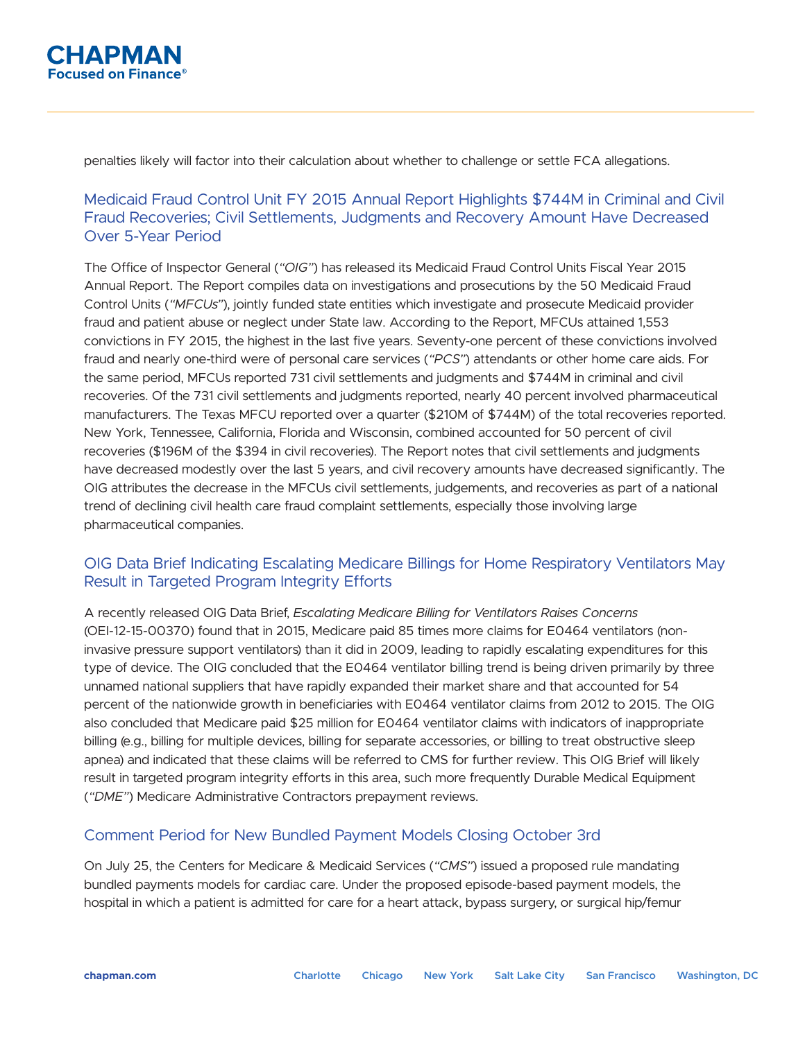

penalties likely will factor into their calculation about whether to challenge or settle FCA allegations.

### Medicaid Fraud Control Unit FY 2015 Annual Report Highlights \$744M in Criminal and Civil Fraud Recoveries; Civil Settlements, Judgments and Recovery Amount Have Decreased Over 5-Year Period

The Office of Inspector General (*"OIG"*) has released its Medicaid Fraud Control Units Fiscal Year 2015 Annual Report. The Report compiles data on investigations and prosecutions by the 50 Medicaid Fraud Control Units (*"MFCUs"*), jointly funded state entities which investigate and prosecute Medicaid provider fraud and patient abuse or neglect under State law. According to the Report, MFCUs attained 1,553 convictions in FY 2015, the highest in the last five years. Seventy-one percent of these convictions involved fraud and nearly one-third were of personal care services (*"PCS"*) attendants or other home care aids. For the same period, MFCUs reported 731 civil settlements and judgments and \$744M in criminal and civil recoveries. Of the 731 civil settlements and judgments reported, nearly 40 percent involved pharmaceutical manufacturers. The Texas MFCU reported over a quarter (\$210M of \$744M) of the total recoveries reported. New York, Tennessee, California, Florida and Wisconsin, combined accounted for 50 percent of civil recoveries (\$196M of the \$394 in civil recoveries). The Report notes that civil settlements and judgments have decreased modestly over the last 5 years, and civil recovery amounts have decreased significantly. The OIG attributes the decrease in the MFCUs civil settlements, judgements, and recoveries as part of a national trend of declining civil health care fraud complaint settlements, especially those involving large pharmaceutical companies.

### OIG Data Brief Indicating Escalating Medicare Billings for Home Respiratory Ventilators May Result in Targeted Program Integrity Efforts

A recently released OIG Data Brief, *Escalating Medicare Billing for Ventilators Raises Concerns* (OEI-12-15-00370) found that in 2015, Medicare paid 85 times more claims for E0464 ventilators (noninvasive pressure support ventilators) than it did in 2009, leading to rapidly escalating expenditures for this type of device. The OIG concluded that the E0464 ventilator billing trend is being driven primarily by three unnamed national suppliers that have rapidly expanded their market share and that accounted for 54 percent of the nationwide growth in beneficiaries with E0464 ventilator claims from 2012 to 2015. The OIG also concluded that Medicare paid \$25 million for E0464 ventilator claims with indicators of inappropriate billing (e.g., billing for multiple devices, billing for separate accessories, or billing to treat obstructive sleep apnea) and indicated that these claims will be referred to CMS for further review. This OIG Brief will likely result in targeted program integrity efforts in this area, such more frequently Durable Medical Equipment (*"DME"*) Medicare Administrative Contractors prepayment reviews.

#### Comment Period for New Bundled Payment Models Closing October 3rd

On July 25, the Centers for Medicare & Medicaid Services (*"CMS"*) issued a proposed rule mandating bundled payments models for cardiac care. Under the proposed episode-based payment models, the hospital in which a patient is admitted for care for a heart attack, bypass surgery, or surgical hip/femur